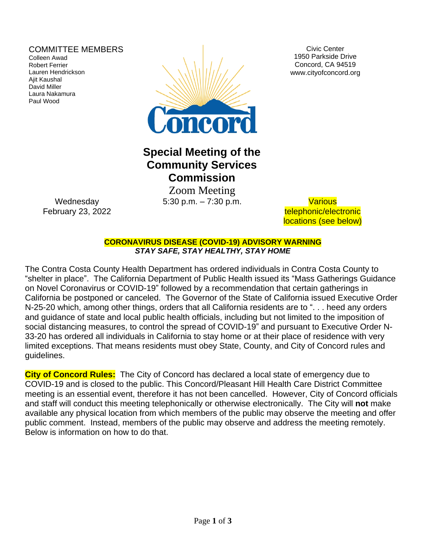### COMMITTEE MEMBERS

Colleen Awad Robert Ferrier Lauren Hendrickson Ajit Kaushal David Miller Laura Nakamura Paul Wood



Civic Center 1950 Parkside Drive Concord, CA 94519 www.cityofconcord.org

# **Special Meeting of the Community Services Commission**

 Zoom Meeting 5:30 p.m. – 7:30 p.m. Various

telephonic/electronic locations (see below)

**CORONAVIRUS DISEASE (COVID-19) ADVISORY WARNING** *STAY SAFE, STAY HEALTHY, STAY HOME*

The Contra Costa County Health Department has ordered individuals in Contra Costa County to "shelter in place". The California Department of Public Health issued its "Mass Gatherings Guidance on Novel Coronavirus or COVID-19" followed by a recommendation that certain gatherings in California be postponed or canceled. The Governor of the State of California issued Executive Order N-25-20 which, among other things, orders that all California residents are to ". . . heed any orders and guidance of state and local public health officials, including but not limited to the imposition of social distancing measures, to control the spread of COVID-19" and pursuant to Executive Order N-33-20 has ordered all individuals in California to stay home or at their place of residence with very limited exceptions. That means residents must obey State, County, and City of Concord rules and guidelines.

**City of Concord Rules:** The City of Concord has declared a local state of emergency due to COVID-19 and is closed to the public. This Concord/Pleasant Hill Health Care District Committee meeting is an essential event, therefore it has not been cancelled. However, City of Concord officials and staff will conduct this meeting telephonically or otherwise electronically. The City will **not** make available any physical location from which members of the public may observe the meeting and offer public comment. Instead, members of the public may observe and address the meeting remotely. Below is information on how to do that.

**Wednesday** February 23, 2022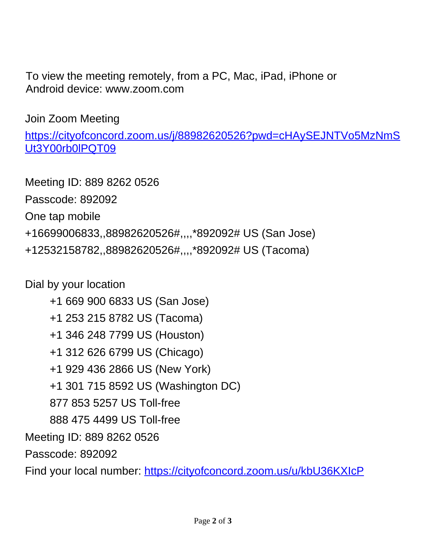To view the meeting remotely, from a PC, Mac, iPad, iPhone or Android device: www.zoom.com

Join Zoom Meeting

[https://cityofconcord.zoom.us/j/88982620526?pwd=cHAySEJNTVo5MzNmS](https://cityofconcord.zoom.us/j/88982620526?pwd=cHAySEJNTVo5MzNmSUt3Y00rb0lPQT09) Ut3Y00rb0lPQT09

Meeting ID: 889 8262 0526 Passcode: 892092 One tap mobile +16699006833,,88982620526#,,,,\*892092# US (San Jose) +12532158782,,88982620526#,,,,\*892092# US (Tacoma)

Dial by your location

 +1 669 900 6833 US (San Jose) +1 253 215 8782 US (Tacoma) +1 346 248 7799 US (Houston) +1 312 626 6799 US (Chicago) +1 929 436 2866 US (New York) +1 301 715 8592 US (Washington DC) 877 853 5257 US Toll-free 888 475 4499 US Toll-free Meeting ID: 889 8262 0526 Passcode: 892092 Find your local number: <https://cityofconcord.zoom.us/u/kbU36KXIcP>